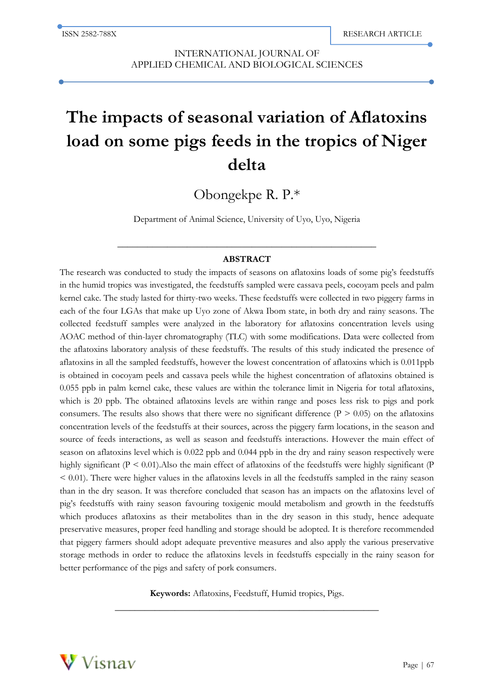l

INTERNATIONAL JOURNAL OF APPLIED CHEMICAL AND BIOLOGICAL SCIENCES

# **The impacts of seasonal variation of Aflatoxins load on some pigs feeds in the tropics of Niger delta**

Obongekpe R. P.\*

Department of Animal Science, University of Uyo, Uyo, Nigeria

# **\_\_\_\_\_\_\_\_\_\_\_\_\_\_\_\_\_\_\_\_\_\_\_\_\_\_\_\_\_\_\_\_\_\_\_\_\_\_\_\_\_\_\_\_\_\_\_\_\_\_\_\_ ABSTRACT**

The research was conducted to study the impacts of seasons on aflatoxins loads of some pig's feedstuffs in the humid tropics was investigated, the feedstuffs sampled were cassava peels, cocoyam peels and palm kernel cake. The study lasted for thirty-two weeks. These feedstuffs were collected in two piggery farms in each of the four LGAs that make up Uyo zone of Akwa Ibom state, in both dry and rainy seasons. The collected feedstuff samples were analyzed in the laboratory for aflatoxins concentration levels using AOAC method of thin-layer chromatography (TLC) with some modifications. Data were collected from the aflatoxins laboratory analysis of these feedstuffs. The results of this study indicated the presence of aflatoxins in all the sampled feedstuffs, however the lowest concentration of aflatoxins which is 0.011ppb is obtained in cocoyam peels and cassava peels while the highest concentration of aflatoxins obtained is 0.055 ppb in palm kernel cake, these values are within the tolerance limit in Nigeria for total aflatoxins, which is 20 ppb. The obtained aflatoxins levels are within range and poses less risk to pigs and pork consumers. The results also shows that there were no significant difference ( $P > 0.05$ ) on the aflatoxins concentration levels of the feedstuffs at their sources, across the piggery farm locations, in the season and source of feeds interactions, as well as season and feedstuffs interactions. However the main effect of season on aflatoxins level which is 0.022 ppb and 0.044 ppb in the dry and rainy season respectively were highly significant ( $P < 0.01$ ). Also the main effect of aflatoxins of the feedstuffs were highly significant ( $P$  $< 0.01$ ). There were higher values in the aflatoxins levels in all the feedstuffs sampled in the rainy season than in the dry season. It was therefore concluded that season has an impacts on the aflatoxins level of pig's feedstuffs with rainy season favouring toxigenic mould metabolism and growth in the feedstuffs which produces aflatoxins as their metabolites than in the dry season in this study, hence adequate preservative measures, proper feed handling and storage should be adopted. It is therefore recommended that piggery farmers should adopt adequate preventive measures and also apply the various preservative storage methods in order to reduce the aflatoxins levels in feedstuffs especially in the rainy season for better performance of the pigs and safety of pork consumers.

> **Keywords:** Aflatoxins, Feedstuff, Humid tropics, Pigs. **\_\_\_\_\_\_\_\_\_\_\_\_\_\_\_\_\_\_\_\_\_\_\_\_\_\_\_\_\_\_\_\_\_\_\_\_\_\_\_\_\_\_\_\_\_\_\_\_\_\_\_\_\_**

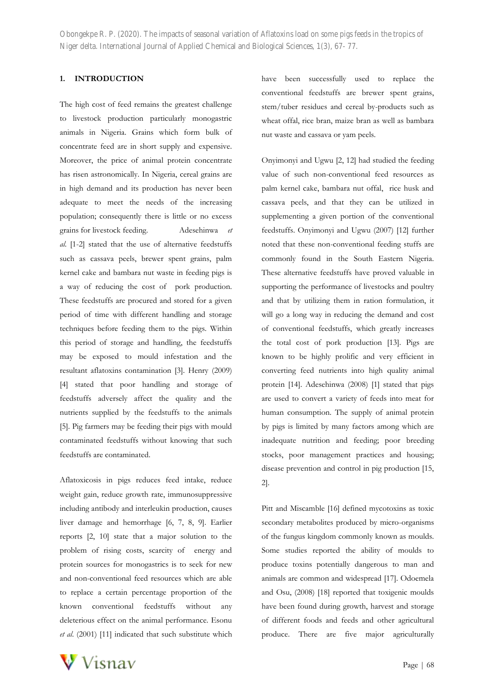# **1. INTRODUCTION**

The high cost of feed remains the greatest challenge to livestock production particularly monogastric animals in Nigeria. Grains which form bulk of concentrate feed are in short supply and expensive. Moreover, the price of animal protein concentrate has risen astronomically. In Nigeria, cereal grains are in high demand and its production has never been adequate to meet the needs of the increasing population; consequently there is little or no excess grains for livestock feeding. Adesehinwa *et al*. [1-2] stated that the use of alternative feedstuffs such as cassava peels, brewer spent grains, palm kernel cake and bambara nut waste in feeding pigs is a way of reducing the cost of pork production. These feedstuffs are procured and stored for a given period of time with different handling and storage techniques before feeding them to the pigs. Within this period of storage and handling, the feedstuffs may be exposed to mould infestation and the resultant aflatoxins contamination [3]. Henry (2009) [4] stated that poor handling and storage of feedstuffs adversely affect the quality and the nutrients supplied by the feedstuffs to the animals [5]. Pig farmers may be feeding their pigs with mould contaminated feedstuffs without knowing that such feedstuffs are contaminated.

Aflatoxicosis in pigs reduces feed intake, reduce weight gain, reduce growth rate, immunosuppressive including antibody and interleukin production, causes liver damage and hemorrhage [6, 7, 8, 9]. Earlier reports [2, 10] state that a major solution to the problem of rising costs, scarcity of energy and protein sources for monogastrics is to seek for new and non-conventional feed resources which are able to replace a certain percentage proportion of the known conventional feedstuffs without any deleterious effect on the animal performance. Esonu *et al*. (2001) [11] indicated that such substitute which have been successfully used to replace the conventional feedstuffs are brewer spent grains, stem/tuber residues and cereal by-products such as wheat offal, rice bran, maize bran as well as bambara nut waste and cassava or yam peels.

Onyimonyi and Ugwu [2, 12] had studied the feeding value of such non-conventional feed resources as palm kernel cake, bambara nut offal, rice husk and cassava peels, and that they can be utilized in supplementing a given portion of the conventional feedstuffs. Onyimonyi and Ugwu (2007) [12] further noted that these non-conventional feeding stuffs are commonly found in the South Eastern Nigeria. These alternative feedstuffs have proved valuable in supporting the performance of livestocks and poultry and that by utilizing them in ration formulation, it will go a long way in reducing the demand and cost of conventional feedstuffs, which greatly increases the total cost of pork production [13]. Pigs are known to be highly prolific and very efficient in converting feed nutrients into high quality animal protein [14]. Adesehinwa (2008) [1] stated that pigs are used to convert a variety of feeds into meat for human consumption. The supply of animal protein by pigs is limited by many factors among which are inadequate nutrition and feeding; poor breeding stocks, poor management practices and housing; disease prevention and control in pig production [15, 2].

Pitt and Miscamble [16] defined mycotoxins as toxic secondary metabolites produced by micro-organisms of the fungus kingdom commonly known as moulds. Some studies reported the ability of moulds to produce toxins potentially dangerous to man and animals are common and widespread [17]. Odoemela and Osu, (2008) [18] reported that toxigenic moulds have been found during growth, harvest and storage of different foods and feeds and other agricultural produce. There are five major agriculturally

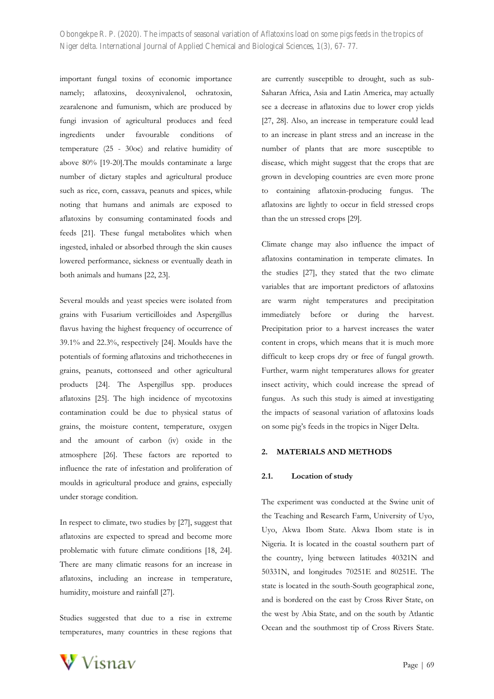important fungal toxins of economic importance namely; aflatoxins, deoxynivalenol, ochratoxin, zearalenone and fumunism, which are produced by fungi invasion of agricultural produces and feed ingredients under favourable conditions of temperature (25 - 30oc) and relative humidity of above 80% [19-20].The moulds contaminate a large number of dietary staples and agricultural produce such as rice, corn, cassava, peanuts and spices, while noting that humans and animals are exposed to aflatoxins by consuming contaminated foods and feeds [21]. These fungal metabolites which when ingested, inhaled or absorbed through the skin causes lowered performance, sickness or eventually death in both animals and humans [22, 23].

Several moulds and yeast species were isolated from grains with Fusarium verticilloides and Aspergillus flavus having the highest frequency of occurrence of 39.1% and 22.3%, respectively [24]. Moulds have the potentials of forming aflatoxins and trichothecenes in grains, peanuts, cottonseed and other agricultural products [24]. The Aspergillus spp. produces aflatoxins [25]. The high incidence of mycotoxins contamination could be due to physical status of grains, the moisture content, temperature, oxygen and the amount of carbon (iv) oxide in the atmosphere [26]. These factors are reported to influence the rate of infestation and proliferation of moulds in agricultural produce and grains, especially under storage condition.

In respect to climate, two studies by [27], suggest that aflatoxins are expected to spread and become more problematic with future climate conditions [18, 24]. There are many climatic reasons for an increase in aflatoxins, including an increase in temperature, humidity, moisture and rainfall [27].

Studies suggested that due to a rise in extreme temperatures, many countries in these regions that are currently susceptible to drought, such as sub-Saharan Africa, Asia and Latin America, may actually see a decrease in aflatoxins due to lower crop yields [27, 28]. Also, an increase in temperature could lead to an increase in plant stress and an increase in the number of plants that are more susceptible to disease, which might suggest that the crops that are grown in developing countries are even more prone to containing aflatoxin-producing fungus. The aflatoxins are lightly to occur in field stressed crops than the un stressed crops [29].

Climate change may also influence the impact of aflatoxins contamination in temperate climates. In the studies [27], they stated that the two climate variables that are important predictors of aflatoxins are warm night temperatures and precipitation immediately before or during the harvest. Precipitation prior to a harvest increases the water content in crops, which means that it is much more difficult to keep crops dry or free of fungal growth. Further, warm night temperatures allows for greater insect activity, which could increase the spread of fungus. As such this study is aimed at investigating the impacts of seasonal variation of aflatoxins loads on some pig's feeds in the tropics in Niger Delta.

#### **2. MATERIALS AND METHODS**

#### **2.1. Location of study**

The experiment was conducted at the Swine unit of the Teaching and Research Farm, University of Uyo, Uyo, Akwa Ibom State. Akwa Ibom state is in Nigeria. It is located in the coastal southern part of the country, lying between latitudes 40321N and 50331N, and longitudes 70251E and 80251E. The state is located in the south-South geographical zone, and is bordered on the east by Cross River State, on the west by Abia State, and on the south by Atlantic Ocean and the southmost tip of Cross Rivers State.

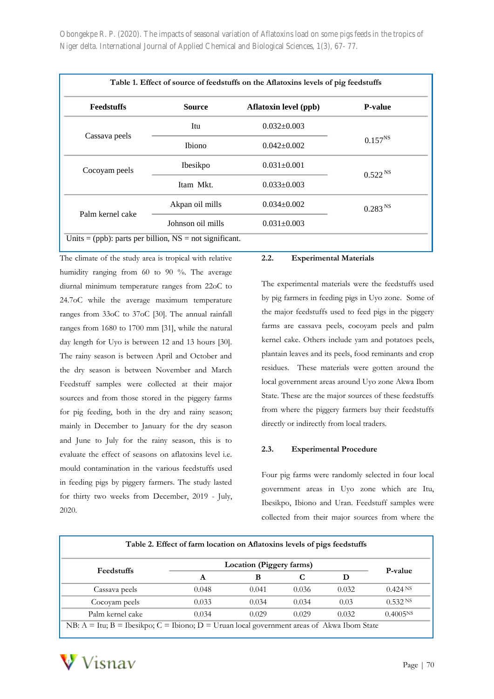| <b>Feedstuffs</b> | <b>Source</b>     | <b>Aflatoxin level (ppb)</b> | <b>P-value</b>      |
|-------------------|-------------------|------------------------------|---------------------|
|                   | Itu               | $0.032 \pm 0.003$            |                     |
| Cassava peels     | <b>Ibiono</b>     | $0.042 \pm 0.002$            | $0.157^{NS}$        |
| Cocoyam peels     | Ibesikpo          | $0.031 \pm 0.001$            | 0.522 <sup>NS</sup> |
|                   | Itam Mkt.         | $0.033 \pm 0.003$            |                     |
| Palm kernel cake  | Akpan oil mills   | $0.034 \pm 0.002$            | 0.283 <sup>NS</sup> |
|                   | Johnson oil mills | $0.031 \pm 0.003$            |                     |

The climate of the study area is tropical with relative humidity ranging from 60 to 90 %. The average diurnal minimum temperature ranges from 22oC to 24.7oC while the average maximum temperature ranges from 33oC to 37oC [30]. The annual rainfall ranges from 1680 to 1700 mm [31], while the natural day length for Uyo is between 12 and 13 hours [30]. The rainy season is between April and October and the dry season is between November and March Feedstuff samples were collected at their major sources and from those stored in the piggery farms for pig feeding, both in the dry and rainy season; mainly in December to January for the dry season and June to July for the rainy season, this is to evaluate the effect of seasons on aflatoxins level i.e. mould contamination in the various feedstuffs used in feeding pigs by piggery farmers. The study lasted for thirty two weeks from December, 2019 - July, 2020.

#### **2.2. Experimental Materials**

The experimental materials were the feedstuffs used by pig farmers in feeding pigs in Uyo zone. Some of the major feedstuffs used to feed pigs in the piggery farms are cassava peels, cocoyam peels and palm kernel cake. Others include yam and potatoes peels, plantain leaves and its peels, food reminants and crop residues. These materials were gotten around the local government areas around Uyo zone Akwa Ibom State. These are the major sources of these feedstuffs from where the piggery farmers buy their feedstuffs directly or indirectly from local traders.

#### **2.3. Experimental Procedure**

Four pig farms were randomly selected in four local government areas in Uyo zone which are Itu, Ibesikpo, Ibiono and Uran. Feedstuff samples were collected from their major sources from where the

| Feedstuffs       | Location (Piggery farms) |       |       |       |                      |
|------------------|--------------------------|-------|-------|-------|----------------------|
|                  | A                        | B     |       | D     | P-value              |
| Cassava peels    | 0.048                    | 0.041 | 0.036 | 0.032 | $0.424$ NS           |
| Cocovam peels    | 0.033                    | 0.034 | 0.034 | 0.03  | $0.532 \text{ NS}$   |
| Palm kernel cake | 0.034                    | 0.029 | 0.029 | 0.032 | 0.4005 <sup>NS</sup> |

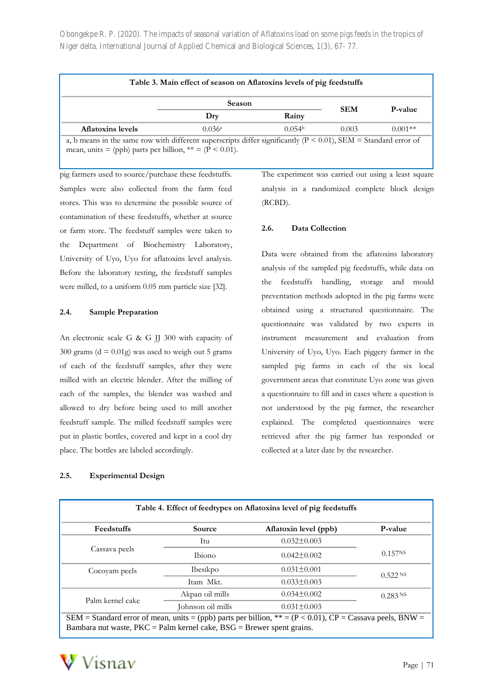| Table 3. Main effect of season on Aflatoxins levels of pig feedstuffs                                               |               |                    |            |                 |  |  |
|---------------------------------------------------------------------------------------------------------------------|---------------|--------------------|------------|-----------------|--|--|
|                                                                                                                     | <b>Season</b> |                    | <b>SEM</b> | <b>P</b> -value |  |  |
|                                                                                                                     | Dry           | Rainy              |            |                 |  |  |
| <b>Aflatoxins levels</b>                                                                                            | 0.036a        | 0.054 <sup>b</sup> | 0.003      | $0.001**$       |  |  |
| a, b means in the same row with different superscripts differ significantly ( $P < 0.01$ ), SEM = Standard error of |               |                    |            |                 |  |  |

mean, units = (ppb) parts per billion,  $** = (P < 0.01)$ .

pig farmers used to source/purchase these feedstuffs. Samples were also collected from the farm feed stores. This was to determine the possible source of contamination of these feedstuffs, whether at source or farm store. The feedstuff samples were taken to the Department of Biochemistry Laboratory, University of Uyo, Uyo for aflatoxins level analysis. Before the laboratory testing, the feedstuff samples were milled, to a uniform 0.05 mm particle size [32].

# **2.4. Sample Preparation**

An electronic scale G & G JJ 300 with capacity of  $300$  grams ( $d = 0.01g$ ) was used to weigh out 5 grams of each of the feedstuff samples, after they were milled with an electric blender. After the milling of each of the samples, the blender was washed and allowed to dry before being used to mill another feedstuff sample. The milled feedstuff samples were put in plastic bottles, covered and kept in a cool dry place. The bottles are labeled accordingly.

#### **2.5. Experimental Design**

The experiment was carried out using a least square analysis in a randomized complete block design (RCBD).

# **2.6. Data Collection**

Data were obtained from the aflatoxins laboratory analysis of the sampled pig feedstuffs, while data on the feedstuffs handling, storage and mould preventation methods adopted in the pig farms were obtained using a structured questionnaire. The questionnaire was validated by two experts in instrument measurement and evaluation from University of Uyo, Uyo. Each piggery farmer in the sampled pig farms in each of the six local government areas that constitute Uyo zone was given a questionnaire to fill and in cases where a question is not understood by the pig farmer, the researcher explained. The completed questionnaires were retrieved after the pig farmer has responded or collected at a later date by the researcher.

| Table 4. Effect of feedtypes on Aflatoxins level of pig feedstuffs                                           |                   |                       |                       |  |  |  |
|--------------------------------------------------------------------------------------------------------------|-------------------|-----------------------|-----------------------|--|--|--|
| Feedstuffs                                                                                                   | Source            | Aflatoxin level (ppb) | P-value               |  |  |  |
|                                                                                                              | Itu               | $0.032 \pm 0.003$     |                       |  |  |  |
| Cassava peels                                                                                                | <b>Thiono</b>     | $0.042 \pm 0.002$     | 0.157 <sup>NS</sup>   |  |  |  |
| Cocoyam peels                                                                                                | <b>Ibesikpo</b>   | $0.031 \pm 0.001$     | $0.522$ <sup>NS</sup> |  |  |  |
|                                                                                                              | Itam Mkt.         | $0.033 \pm 0.003$     |                       |  |  |  |
| Palm kernel cake                                                                                             | Akpan oil mills   | $0.034 \pm 0.002$     | $0.283$ NS            |  |  |  |
|                                                                                                              | Johnson oil mills | $0.031 \pm 0.003$     |                       |  |  |  |
| SEM = Standard error of mean, units = (ppb) parts per billion, $** = (P < 0.01)$ , CP = Cassava peels, BNW = |                   |                       |                       |  |  |  |

Bambara nut waste,  $PKC =$  Palm kernel cake,  $BSG =$  Brewer spent grains.

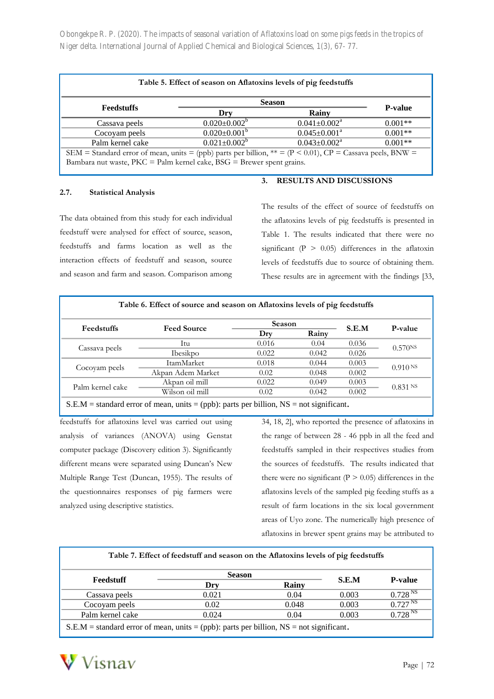|                   | <b>Season</b>       |                                |                |
|-------------------|---------------------|--------------------------------|----------------|
| <b>Feedstuffs</b> | Dry                 | Rainy                          | <b>P-value</b> |
| Cassava peels     | $0.020 \pm 0.002^b$ | $0.041 \pm 0.002$ <sup>a</sup> | $0.001**$      |
| Cocoyam peels     | $0.020 \pm 0.001^b$ | $0.045 \pm 0.001^a$            | $0.001**$      |
| Palm kernel cake  | $0.021 \pm 0.002^b$ | $0.043 \pm 0.002^a$            | $0.001**$      |

#### **2.7. Statistical Analysis**

The data obtained from this study for each individual feedstuff were analysed for effect of source, season, feedstuffs and farms location as well as the interaction effects of feedstuff and season, source and season and farm and season. Comparison among **3. RESULTS AND DISCUSSIONS**

The results of the effect of source of feedstuffs on the aflatoxins levels of pig feedstuffs is presented in Table 1. The results indicated that there were no significant ( $P > 0.05$ ) differences in the aflatoxin levels of feedstuffs due to source of obtaining them. These results are in agreement with the findings [33,

|                   |                    | <b>Season</b> |       |       |                      |
|-------------------|--------------------|---------------|-------|-------|----------------------|
| <b>Feedstuffs</b> | <b>Feed Source</b> | Dry           | Rainy | S.E.M | P-value              |
| Cassava peels     | Itu                | 0.016         | 0.04  | 0.036 | 0.570Ns              |
|                   | Ibesikpo           | 0.022         | 0.042 | 0.026 |                      |
| Cocoyam peels     | ItamMarket         | 0.018         | 0.044 | 0.003 | $0.910$ NS           |
|                   | Akpan Adem Market  | 0.02          | 0.048 | 0.002 |                      |
| Palm kernel cake  | Akpan oil mill     | 0.022         | 0.049 | 0.003 |                      |
|                   | Wilson oil mill    | 0.02          | 0.042 | 0.002 | 0.831 N <sub>S</sub> |

feedstuffs for aflatoxins level was carried out using analysis of variances (ANOVA) using Genstat computer package (Discovery edition 3). Significantly different means were separated using Duncan's New Multiple Range Test (Duncan, 1955). The results of the questionnaires responses of pig farmers were analyzed using descriptive statistics.

34, 18, 2], who reported the presence of aflatoxins in the range of between 28 - 46 ppb in all the feed and feedstuffs sampled in their respectives studies from the sources of feedstuffs. The results indicated that there were no significant  $(P > 0.05)$  differences in the aflatoxins levels of the sampled pig feeding stuffs as a result of farm locations in the six local government areas of Uyo zone. The numerically high presence of aflatoxins in brewer spent grains may be attributed to

| Table 7. Effect of feedstuff and season on the Aflatoxins levels of pig feedstuffs            |               |       |                         |                     |  |  |  |
|-----------------------------------------------------------------------------------------------|---------------|-------|-------------------------|---------------------|--|--|--|
|                                                                                               | <b>Season</b> |       | <b>P-value</b><br>S.E.M |                     |  |  |  |
| Feedstuff                                                                                     | Dry           | Rainy |                         |                     |  |  |  |
| Cassava peels                                                                                 | 0.021         | 0.04  | 0.003                   | 0.728 <sup>NS</sup> |  |  |  |
| Cocoyam peels                                                                                 | 0.02          | 0.048 | 0.003                   | 0.727 <sup>NS</sup> |  |  |  |
| Palm kernel cake                                                                              | 0.024         | 0.04  | 0.003                   | $0.728^{NS}$        |  |  |  |
| $S.E.M = standard error of mean, units = (ppb)$ : parts per billion, $NS = not significant$ . |               |       |                         |                     |  |  |  |

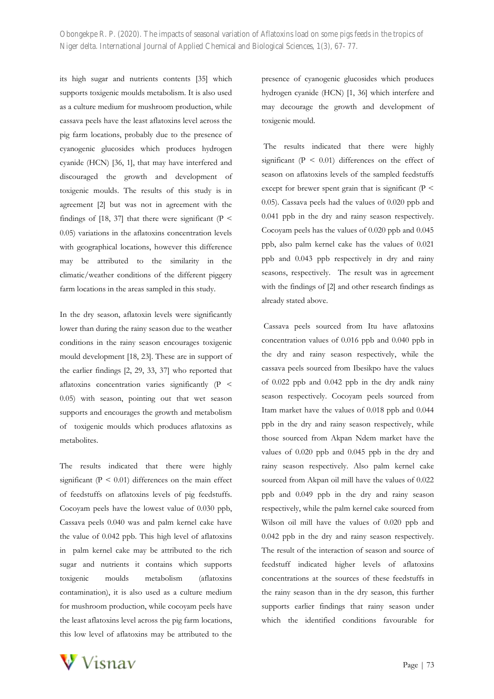its high sugar and nutrients contents [35] which supports toxigenic moulds metabolism. It is also used as a culture medium for mushroom production, while cassava peels have the least aflatoxins level across the pig farm locations, probably due to the presence of cyanogenic glucosides which produces hydrogen cyanide (HCN) [36, 1], that may have interfered and discouraged the growth and development of toxigenic moulds. The results of this study is in agreement [2] but was not in agreement with the findings of [18, 37] that there were significant ( $P \le$ 0.05) variations in the aflatoxins concentration levels with geographical locations, however this difference may be attributed to the similarity in the climatic/weather conditions of the different piggery farm locations in the areas sampled in this study.

In the dry season, aflatoxin levels were significantly lower than during the rainy season due to the weather conditions in the rainy season encourages toxigenic mould development [18, 23]. These are in support of the earlier findings [2, 29, 33, 37] who reported that aflatoxins concentration varies significantly (P < 0.05) with season, pointing out that wet season supports and encourages the growth and metabolism of toxigenic moulds which produces aflatoxins as metabolites.

The results indicated that there were highly significant ( $P < 0.01$ ) differences on the main effect of feedstuffs on aflatoxins levels of pig feedstuffs. Cocoyam peels have the lowest value of 0.030 ppb, Cassava peels 0.040 was and palm kernel cake have the value of 0.042 ppb. This high level of aflatoxins in palm kernel cake may be attributed to the rich sugar and nutrients it contains which supports toxigenic moulds metabolism (aflatoxins contamination), it is also used as a culture medium for mushroom production, while cocoyam peels have the least aflatoxins level across the pig farm locations, this low level of aflatoxins may be attributed to the

presence of cyanogenic glucosides which produces hydrogen cyanide (HCN) [1, 36] which interfere and may decourage the growth and development of toxigenic mould.

The results indicated that there were highly significant  $(P < 0.01)$  differences on the effect of season on aflatoxins levels of the sampled feedstuffs except for brewer spent grain that is significant ( $P <$ 0.05). Cassava peels had the values of 0.020 ppb and 0.041 ppb in the dry and rainy season respectively. Cocoyam peels has the values of 0.020 ppb and 0.045 ppb, also palm kernel cake has the values of 0.021 ppb and 0.043 ppb respectively in dry and rainy seasons, respectively. The result was in agreement with the findings of [2] and other research findings as already stated above.

Cassava peels sourced from Itu have aflatoxins concentration values of 0.016 ppb and 0.040 ppb in the dry and rainy season respectively, while the cassava peels sourced from Ibesikpo have the values of 0.022 ppb and 0.042 ppb in the dry andk rainy season respectively. Cocoyam peels sourced from Itam market have the values of 0.018 ppb and 0.044 ppb in the dry and rainy season respectively, while those sourced from Akpan Ndem market have the values of 0.020 ppb and 0.045 ppb in the dry and rainy season respectively. Also palm kernel cake sourced from Akpan oil mill have the values of 0.022 ppb and 0.049 ppb in the dry and rainy season respectively, while the palm kernel cake sourced from Wilson oil mill have the values of 0.020 ppb and 0.042 ppb in the dry and rainy season respectively. The result of the interaction of season and source of feedstuff indicated higher levels of aflatoxins concentrations at the sources of these feedstuffs in the rainy season than in the dry season, this further supports earlier findings that rainy season under which the identified conditions favourable for

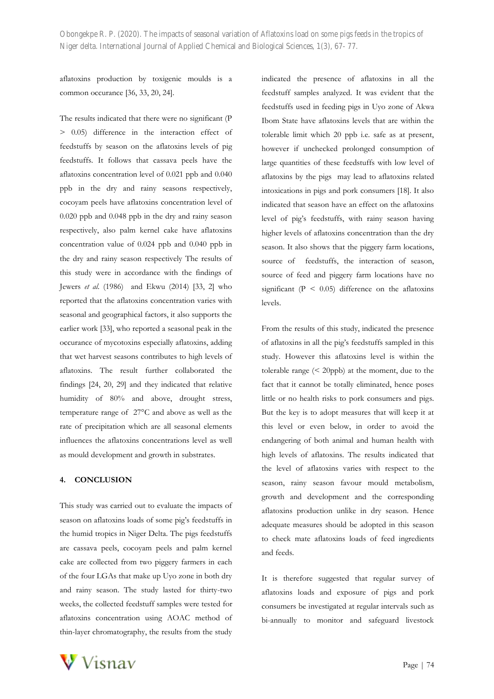aflatoxins production by toxigenic moulds is a common occurance [36, 33, 20, 24].

The results indicated that there were no significant (P > 0.05) difference in the interaction effect of feedstuffs by season on the aflatoxins levels of pig feedstuffs. It follows that cassava peels have the aflatoxins concentration level of 0.021 ppb and 0.040 ppb in the dry and rainy seasons respectively, cocoyam peels have aflatoxins concentration level of 0.020 ppb and 0.048 ppb in the dry and rainy season respectively, also palm kernel cake have aflatoxins concentration value of 0.024 ppb and 0.040 ppb in the dry and rainy season respectively The results of this study were in accordance with the findings of Jewers *et al*. (1986) and Ekwu (2014) [33, 2] who reported that the aflatoxins concentration varies with seasonal and geographical factors, it also supports the earlier work [33], who reported a seasonal peak in the occurance of mycotoxins especially aflatoxins, adding that wet harvest seasons contributes to high levels of aflatoxins. The result further collaborated the findings [24, 20, 29] and they indicated that relative humidity of 80% and above, drought stress, temperature range of 27°C and above as well as the rate of precipitation which are all seasonal elements influences the aflatoxins concentrations level as well as mould development and growth in substrates.

### **4. CONCLUSION**

This study was carried out to evaluate the impacts of season on aflatoxins loads of some pig's feedstuffs in the humid tropics in Niger Delta. The pigs feedstuffs are cassava peels, cocoyam peels and palm kernel cake are collected from two piggery farmers in each of the four LGAs that make up Uyo zone in both dry and rainy season. The study lasted for thirty-two weeks, the collected feedstuff samples were tested for aflatoxins concentration using AOAC method of thin-layer chromatography, the results from the study indicated the presence of aflatoxins in all the feedstuff samples analyzed. It was evident that the feedstuffs used in feeding pigs in Uyo zone of Akwa Ibom State have aflatoxins levels that are within the tolerable limit which 20 ppb i.e. safe as at present, however if unchecked prolonged consumption of large quantities of these feedstuffs with low level of aflatoxins by the pigs may lead to aflatoxins related intoxications in pigs and pork consumers [18]. It also indicated that season have an effect on the aflatoxins level of pig's feedstuffs, with rainy season having higher levels of aflatoxins concentration than the dry season. It also shows that the piggery farm locations, source of feedstuffs, the interaction of season, source of feed and piggery farm locations have no significant ( $P < 0.05$ ) difference on the aflatoxins levels.

From the results of this study, indicated the presence of aflatoxins in all the pig's feedstuffs sampled in this study. However this aflatoxins level is within the tolerable range  $( $20 \text{ppb}$ )$  at the moment, due to the fact that it cannot be totally eliminated, hence poses little or no health risks to pork consumers and pigs. But the key is to adopt measures that will keep it at this level or even below, in order to avoid the endangering of both animal and human health with high levels of aflatoxins. The results indicated that the level of aflatoxins varies with respect to the season, rainy season favour mould metabolism, growth and development and the corresponding aflatoxins production unlike in dry season. Hence adequate measures should be adopted in this season to check mate aflatoxins loads of feed ingredients and feeds.

It is therefore suggested that regular survey of aflatoxins loads and exposure of pigs and pork consumers be investigated at regular intervals such as bi-annually to monitor and safeguard livestock

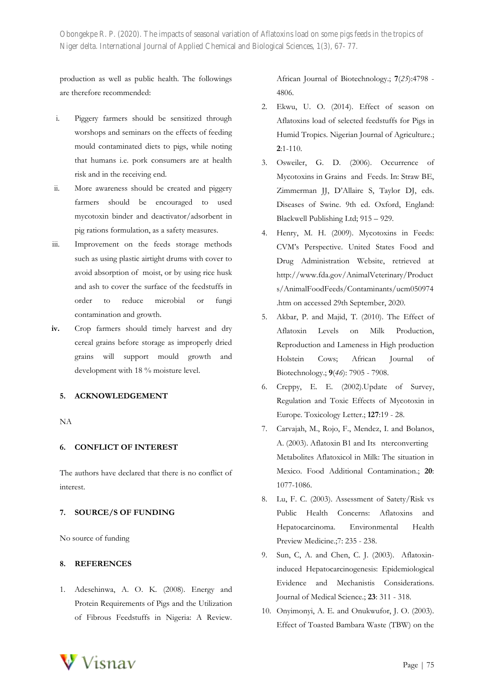production as well as public health. The followings are therefore recommended:

- i. Piggery farmers should be sensitized through worshops and seminars on the effects of feeding mould contaminated diets to pigs, while noting that humans i.e. pork consumers are at health risk and in the receiving end.
- ii. More awareness should be created and piggery farmers should be encouraged to used mycotoxin binder and deactivator/adsorbent in pig rations formulation, as a safety measures.
- iii. Improvement on the feeds storage methods such as using plastic airtight drums with cover to avoid absorption of moist, or by using rice husk and ash to cover the surface of the feedstuffs in order to reduce microbial or fungi contamination and growth.
- **iv.** Crop farmers should timely harvest and dry cereal grains before storage as improperly dried grains will support mould growth and development with 18 % moisture level.

# **5. ACKNOWLEDGEMENT**

NA

#### **6. CONFLICT OF INTEREST**

The authors have declared that there is no conflict of interest.

# **7. SOURCE/S OF FUNDING**

No source of funding

#### **8. REFERENCES**

1. Adesehinwa, A. O. K. (2008). Energy and Protein Requirements of Pigs and the Utilization of Fibrous Feedstuffs in Nigeria: A Review.

African Journal of Biotechnology.; **7**(*25*):4798 - 4806.

- 2. Ekwu, U. O. (2014). Effect of season on Aflatoxins load of selected feedstuffs for Pigs in Humid Tropics. Nigerian Journal of Agriculture.; **2**:1-110.
- 3. Osweiler, G. D. (2006). Occurrence of Mycotoxins in Grains and Feeds. In: Straw BE, Zimmerman JJ, D'Allaire S, Taylor DJ, eds. Diseases of Swine. 9th ed. Oxford, England: Blackwell Publishing Ltd; 915 – 929.
- 4. Henry, M. H. (2009). Mycotoxins in Feeds: CVM's Perspective. United States Food and Drug Administration Website, retrieved at [http://www.fda.gov/AnimalVeterinary/Product](http://www.fda.gov/AnimalVeterinary/Products/AnimalFoodFeeds/Contaminants/ucm050974) [s/AnimalFoodFeeds/Contaminants/ucm050974](http://www.fda.gov/AnimalVeterinary/Products/AnimalFoodFeeds/Contaminants/ucm050974) .htm on accessed 29th September, 2020.
- 5. Akbar, P. and Majid, T. (2010). The Effect of Aflatoxin Levels on Milk Production, Reproduction and Lameness in High production Holstein Cows; African Journal of Biotechnology.; **9**(*46*): 7905 - 7908.
- 6. Creppy, E. E. (2002).Update of Survey, Regulation and Toxic Effects of Mycotoxin in Europe. Toxicology Letter.; **127**:19 - 28.
- 7. Carvajah, M., Rojo, F., Mendez, I. and Bolanos, A. (2003). Aflatoxin B1 and Its nterconverting Metabolites Aflatoxicol in Milk: The situation in Mexico. Food Additional Contamination.; **20**: 1077-1086.
- 8. Lu, F. C. (2003). Assessment of Satety/Risk vs Public Health Concerns: Aflatoxins and Hepatocarcinoma. Environmental Health Preview Medicine.;7: 235 - 238.
- 9. Sun, C, A. and Chen, C. J. (2003). Aflatoxininduced Hepatocarcinogenesis: Epidemiological Evidence and Mechanistis Considerations. Journal of Medical Science.; **23**: 311 - 318.
- 10. Onyimonyi, A. E. and Onukwufor, J. O. (2003). Effect of Toasted Bambara Waste (TBW) on the

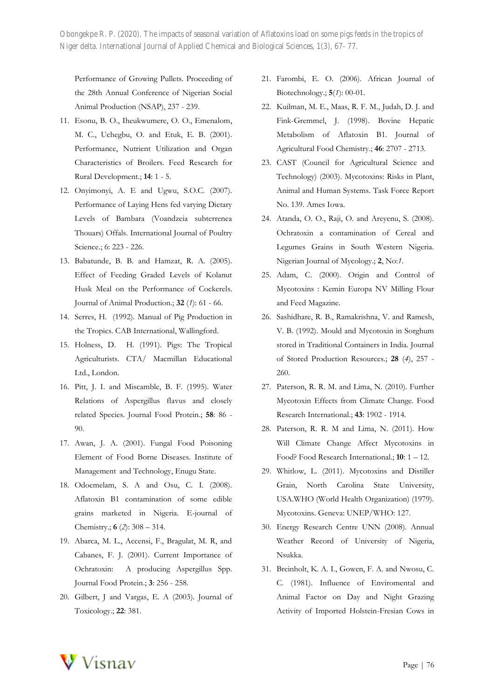Performance of Growing Pullets. Proceeding of the 28th Annual Conference of Nigerian Social Animal Production (NSAP), 237 - 239.

- 11. Esonu, B. O., Iheukwumere, O. O., Emenalom, M. C., Uchegbu, O. and Etuk, E. B. (2001). Performance, Nutrient Utilization and Organ Characteristics of Broilers. Feed Research for Rural Development.; **14**: 1 - 5.
- 12. Onyimonyi, A. E and Ugwu, S.O.C. (2007). Performance of Laying Hens fed varying Dietary Levels of Bambara (Voandzeia subterrenea Thouars) Offals. International Journal of Poultry Science.; 6: 223 - 226.
- 13. Babatunde, B. B. and Hamzat, R. A. (2005). Effect of Feeding Graded Levels of Kolanut Husk Meal on the Performance of Cockerels. Journal of Animal Production.; **32** (*1*): 61 - 66.
- 14. Serres, H. (1992). Manual of Pig Production in the Tropics. CAB International, Wallingford.
- 15. Holness, D. H. (1991). Pigs: The Tropical Agriculturists. CTA/ Macmillan Educational Ltd., London.
- 16. Pitt, J. I. and Miscamble, B. F. (1995). Water Relations of Aspergillus flavus and closely related Species. Journal Food Protein.; **58**: 86 - 90.
- 17. Awan, J. A. (2001). Fungal Food Poisoning Element of Food Borne Diseases. Institute of Management and Technology, Enugu State.
- 18. Odoemelam, S. A and Osu, C. I. (2008). Aflatoxin B1 contamination of some edible grains marketed in Nigeria. E-journal of Chemistry.; **6** (*2*): 308 – 314.
- 19. Abarca, M. L., Accensi, F., Bragulat, M. R, and Cabanes, F. J. (2001). Current Importance of Ochratoxin: A producing Aspergillus Spp. Journal Food Protein.; **3**: 256 - 258.
- 20. Gilbert, J and Vargas, E. A (2003). Journal of Toxicology.; **22**: 381.
- 21. Farombi, E. O. (2006). African Journal of Biotechnology.; **5**(*1*): 00-01.
- 22. Kuilman, M. E., Maas, R. F. M., Judah, D. J. and Fink-Gremmel, J. (1998). Bovine Hepatic Metabolism of Aflatoxin B1. Journal of Agricultural Food Chemistry.; **46**: 2707 - 2713.
- 23. CAST (Council for Agricultural Science and Technology) (2003). Mycotoxins: Risks in Plant, Animal and Human Systems. Task Force Report No. 139. Ames Iowa.
- 24. Atanda, O. O., Raji, O. and Areyenu, S. (2008). Ochratoxin a contamination of Cereal and Legumes Grains in South Western Nigeria. Nigerian Journal of Mycology.; **2**, No:*1*.
- 25. Adam, C. (2000). Origin and Control of Mycotoxins : Kemin Europa NV Milling Flour and Feed Magazine.
- 26. Sashidhare, R. B., Ramakrishna, V. and Ramesh, V. B. (1992). Mould and Mycotoxin in Sorghum stored in Traditional Containers in India. Journal of Stored Production Resources.; **28** (*4*), 257 - 260.
- 27. Paterson, R. R. M. and Lima, N. (2010). Further Mycotoxin Effects from Climate Change. Food Research International.; **43**: 1902 - 1914.
- 28. Paterson, R. R. M and Lima, N. (2011). How Will Climate Change Affect Mycotoxins in Food? Food Research International.; **10**: 1 – 12.
- 29. Whitlow, L. (2011). Mycotoxins and Distiller Grain, North Carolina State University, USA.WHO (World Health Organization) (1979). Mycotoxins. Geneva: UNEP/WHO: 127.
- 30. Energy Research Centre UNN (2008). Annual Weather Record of University of Nigeria, Nsukka.
- 31. Breinholt, K. A. I., Gowen, F. A. and Nwosu, C. C. (1981). Influence of Enviromental and Animal Factor on Day and Night Grazing Activity of Imported Holstein-Fresian Cows in